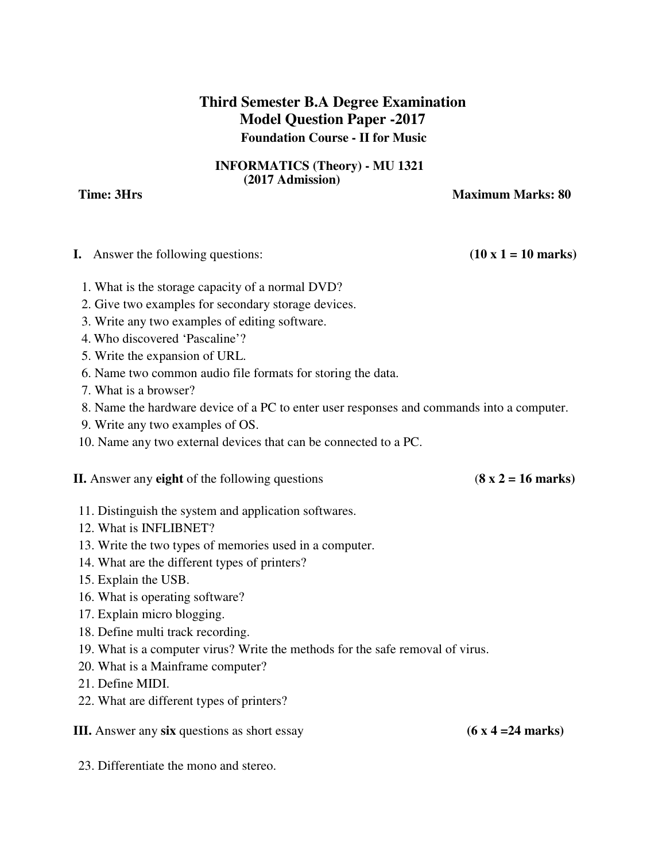## **Third Semester B.A Degree Examination Model Question Paper -2017 Foundation Course - II for Music**

## **INFORMATICS (Theory) - MU 1321 (2017 Admission)**

**Time: 3Hrs Maximum Marks: 80** 

| <b>I.</b> Answer the following questions:                                                 | $(10 \times 1 = 10 \text{ marks})$ |
|-------------------------------------------------------------------------------------------|------------------------------------|
| 1. What is the storage capacity of a normal DVD?                                          |                                    |
| 2. Give two examples for secondary storage devices.                                       |                                    |
| 3. Write any two examples of editing software.                                            |                                    |
| 4. Who discovered 'Pascaline'?                                                            |                                    |
| 5. Write the expansion of URL.                                                            |                                    |
| 6. Name two common audio file formats for storing the data.                               |                                    |
| 7. What is a browser?                                                                     |                                    |
| 8. Name the hardware device of a PC to enter user responses and commands into a computer. |                                    |
| 9. Write any two examples of OS.                                                          |                                    |
| 10. Name any two external devices that can be connected to a PC.                          |                                    |
| <b>II.</b> Answer any <b>eight</b> of the following questions                             | $(8 \times 2 = 16 \text{ marks})$  |
| 11. Distinguish the system and application softwares.                                     |                                    |
| 12. What is INFLIBNET?                                                                    |                                    |
| 13. Write the two types of memories used in a computer.                                   |                                    |
| 14. What are the different types of printers?                                             |                                    |
| 15. Explain the USB.                                                                      |                                    |
| 16. What is operating software?                                                           |                                    |
| 17. Explain micro blogging.                                                               |                                    |
| 18. Define multi track recording.                                                         |                                    |
| 19. What is a computer virus? Write the methods for the safe removal of virus.            |                                    |
| 20. What is a Mainframe computer?                                                         |                                    |
| 21. Define MIDI.                                                                          |                                    |
| 22. What are different types of printers?                                                 |                                    |
| <b>III.</b> Answer any six questions as short essay                                       | $(6 \times 4 = 24 \text{ marks})$  |
| 23. Differentiate the mono and stereo.                                                    |                                    |